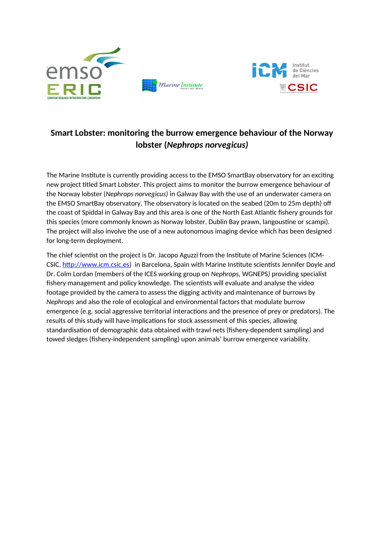

## **Smart Lobster: monitoring the burrow emergence behaviour of the Norway lobster (***Nephrops norvegicus)*

The Marine Institute is currently providing access to the EMSO SmartBay observatory for an exciting new project titled Smart Lobster. This project aims to monitor the burrow emergence behaviour of the Norway lobster (*Nephrops norvegicus)* in Galway Bay with the use of an underwater camera on the EMSO SmartBay observatory. The observatory is located on the seabed (20m to 25m depth) off the coast of Spiddal in Galway Bay and this area is one of the North East Atlantic fishery grounds for this species (more commonly known as Norway lobster, Dublin Bay prawn, langoustine or scampi). The project will also involve the use of a new autonomous imaging device which has been designed for long-term deployment.

The chief scientist on the project is Dr. Jacopo Aguzzi from the Institute of Marine Sciences (ICM-CSIC, [http://www.icm.csic.es\)](http://www.icm.csic.es/) in Barcelona, Spain with Marine Institute scientists Jennifer Doyle and Dr. Colm Lordan (members of the ICES working group on *Nephrops,* WGNEPS*)* providing specialist fishery management and policy knowledge. The scientists will evaluate and analyse the video footage provided by the camera to assess the digging activity and maintenance of burrows by *Nephrops* and also the role of ecological and environmental factors that modulate burrow emergence (e.g. social aggressive territorial interactions and the presence of prey or predators). The results of this study will have implications for stock assessment of this species, allowing standardisation of demographic data obtained with trawl nets (fishery-dependent sampling) and towed sledges (fishery-independent sampling) upon animals' burrow emergence variability.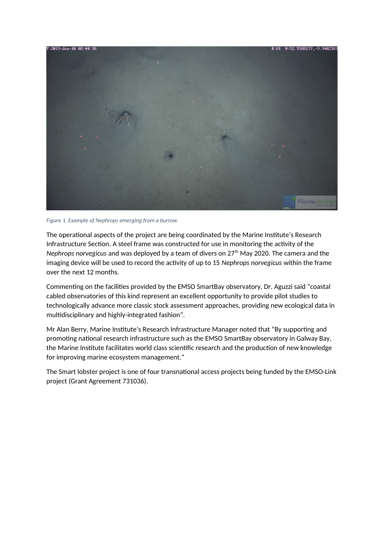

*Figure 1. Example of Nephrops emerging from a burrow*

The operational aspects of the project are being coordinated by the Marine Institute's Research Infrastructure Section. A steel frame was constructed for use in monitoring the activity of the *Nephrops norvegicus* and was deployed by a team of divers on 27<sup>th</sup> May 2020. The camera and the imaging device will be used to record the activity of up to 15 *Nephrops norvegicus* within the frame over the next 12 months.

Commenting on the facilities provided by the EMSO SmartBay observatory, Dr. Aguzzi said "coastal cabled observatories of this kind represent an excellent opportunity to provide pilot studies to technologically advance more classic stock assessment approaches, providing new ecological data in multidisciplinary and highly-integrated fashion".

Mr Alan Berry, Marine Institute's Research Infrastructure Manager noted that "By supporting and promoting national research infrastructure such as the EMSO SmartBay observatory in Galway Bay, the Marine Institute facilitates world class scientific research and the production of new knowledge for improving marine ecosystem management."

The Smart lobster project is one of four transnational access projects being funded by the EMSO-Link project (Grant Agreement 731036).